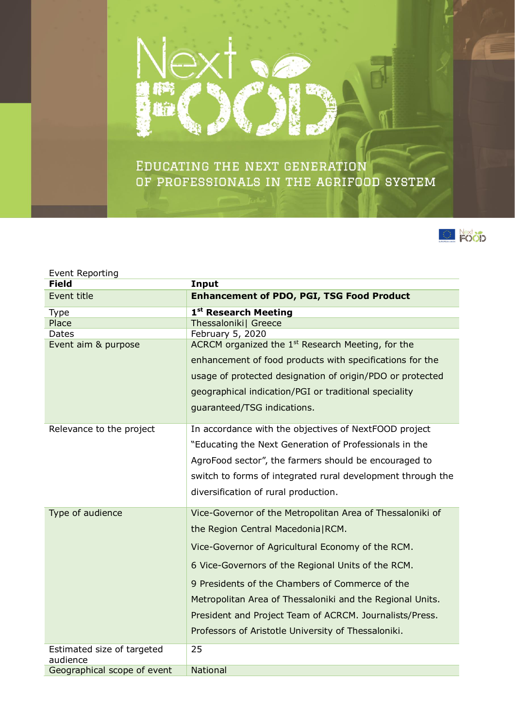

## EDUCATING THE NEXT GENERATION OF PROFESSIONALS IN THE AGRIFOOD SYSTEM



| Event Reporting                        |                                                               |
|----------------------------------------|---------------------------------------------------------------|
| <b>Field</b>                           | Input                                                         |
| Event title                            | <b>Enhancement of PDO, PGI, TSG Food Product</b>              |
| Type                                   | 1 <sup>st</sup> Research Meeting                              |
| Place                                  | Thessaloniki  Greece                                          |
| Dates                                  | February 5, 2020                                              |
| Event aim & purpose                    | ACRCM organized the 1 <sup>st</sup> Research Meeting, for the |
|                                        | enhancement of food products with specifications for the      |
|                                        | usage of protected designation of origin/PDO or protected     |
|                                        | geographical indication/PGI or traditional speciality         |
|                                        | guaranteed/TSG indications.                                   |
| Relevance to the project               | In accordance with the objectives of NextFOOD project         |
|                                        | "Educating the Next Generation of Professionals in the        |
|                                        | AgroFood sector", the farmers should be encouraged to         |
|                                        | switch to forms of integrated rural development through the   |
|                                        | diversification of rural production.                          |
| Type of audience                       | Vice-Governor of the Metropolitan Area of Thessaloniki of     |
|                                        | the Region Central Macedonia   RCM.                           |
|                                        | Vice-Governor of Agricultural Economy of the RCM.             |
|                                        | 6 Vice-Governors of the Regional Units of the RCM.            |
|                                        | 9 Presidents of the Chambers of Commerce of the               |
|                                        | Metropolitan Area of Thessaloniki and the Regional Units.     |
|                                        | President and Project Team of ACRCM. Journalists/Press.       |
|                                        | Professors of Aristotle University of Thessaloniki.           |
| Estimated size of targeted<br>audience | 25                                                            |
| Geographical scope of event            | National                                                      |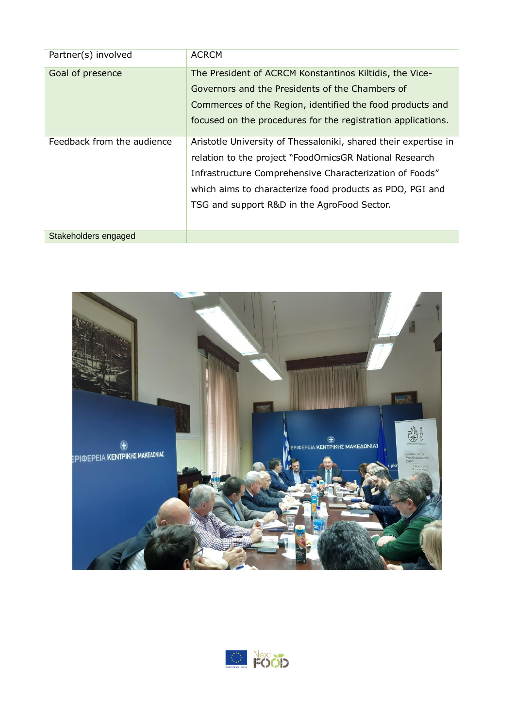| Partner(s) involved        | <b>ACRCM</b>                                                                                                                                                                                                                                                                                    |
|----------------------------|-------------------------------------------------------------------------------------------------------------------------------------------------------------------------------------------------------------------------------------------------------------------------------------------------|
| Goal of presence           | The President of ACRCM Konstantinos Kiltidis, the Vice-<br>Governors and the Presidents of the Chambers of                                                                                                                                                                                      |
|                            | Commerces of the Region, identified the food products and<br>focused on the procedures for the registration applications.                                                                                                                                                                       |
| Feedback from the audience | Aristotle University of Thessaloniki, shared their expertise in<br>relation to the project "FoodOmicsGR National Research<br>Infrastructure Comprehensive Characterization of Foods"<br>which aims to characterize food products as PDO, PGI and<br>TSG and support R&D in the AgroFood Sector. |
| Stakeholders engaged       |                                                                                                                                                                                                                                                                                                 |



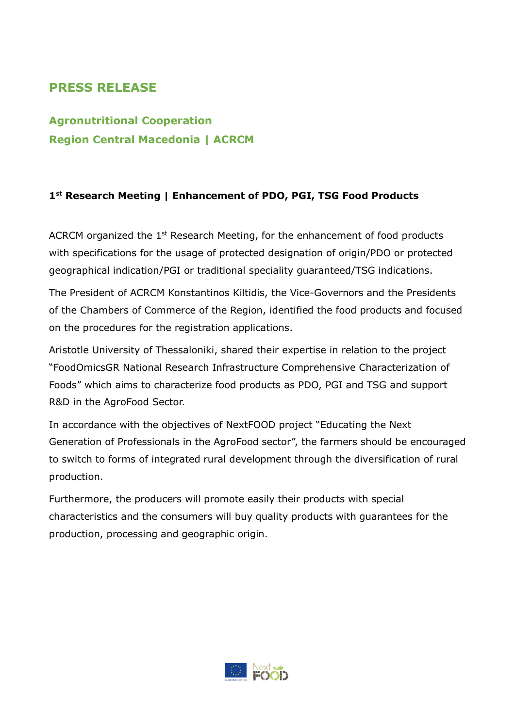## **PRESS RELEASE**

## **Agronutritional Cooperation Region Central Macedonia | ACRCM**

## **1 st Research Meeting | Enhancement of PDO, PGI, TSG Food Products**

ACRCM organized the 1<sup>st</sup> Research Meeting, for the enhancement of food products with specifications for the usage of protected designation of origin/PDO or protected geographical indication/PGI or traditional speciality guaranteed/TSG indications.

The President of ACRCM Konstantinos Kiltidis, the Vice-Governors and the Presidents of the Chambers of Commerce of the Region, identified the food products and focused on the procedures for the registration applications.

Aristotle University of Thessaloniki, shared their expertise in relation to the project "FoodOmicsGR National Research Infrastructure Comprehensive Characterization of Foods" which aims to characterize food products as PDO, PGI and TSG and support R&D in the AgroFood Sector.

In accordance with the objectives of NextFOOD project "Educating the Next Generation of Professionals in the AgroFood sector", the farmers should be encouraged to switch to forms of integrated rural development through the diversification of rural production.

Furthermore, the producers will promote easily their products with special characteristics and the consumers will buy quality products with guarantees for the production, processing and geographic origin.

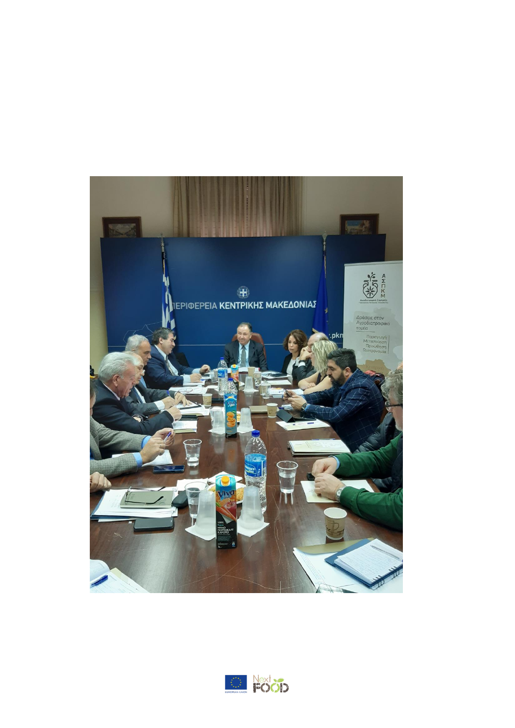